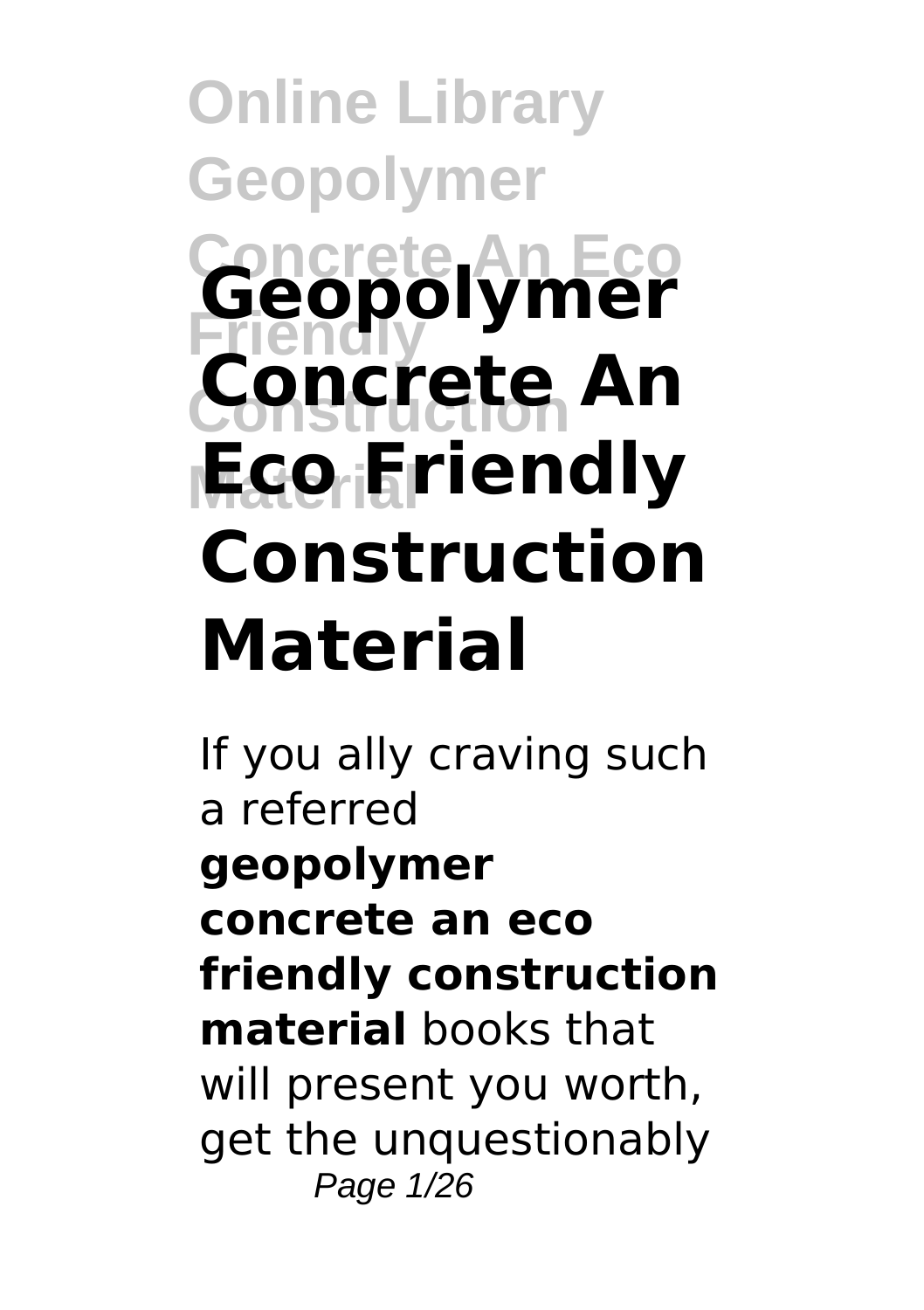## **Online Library Geopolymer Concrete An Eco Geopolymer Friendly Construction Concrete An Material Eco Friendly Construction Material**

If you ally craving such a referred **geopolymer concrete an eco friendly construction material** books that will present you worth, get the unquestionably Page 1/26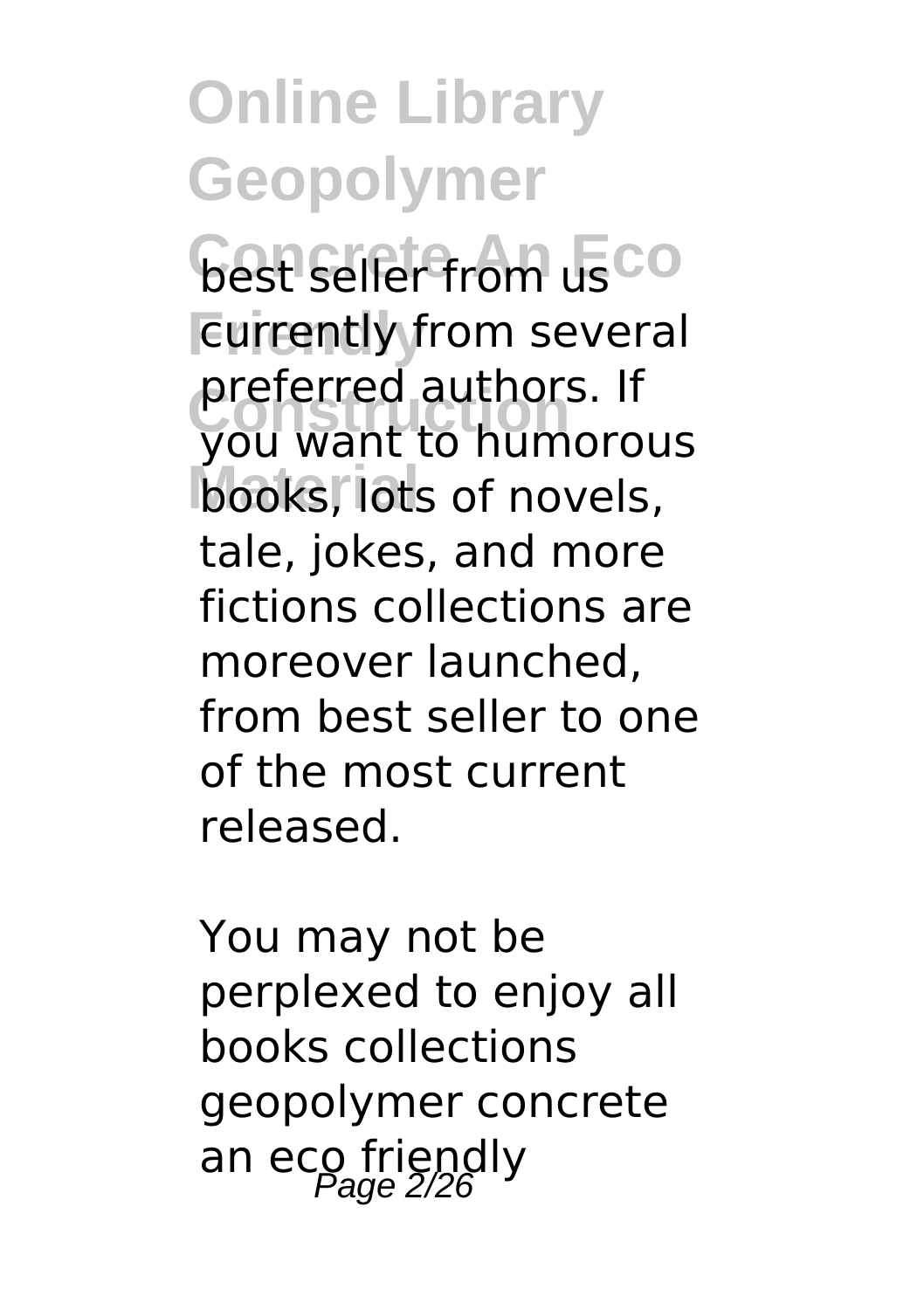**Gest seller from usco** Eurrently from several **Construction** you want to humorous **books**, lots of novels, preferred authors. If tale, jokes, and more fictions collections are moreover launched, from best seller to one of the most current released.

You may not be perplexed to enjoy all books collections geopolymer concrete an eco friendly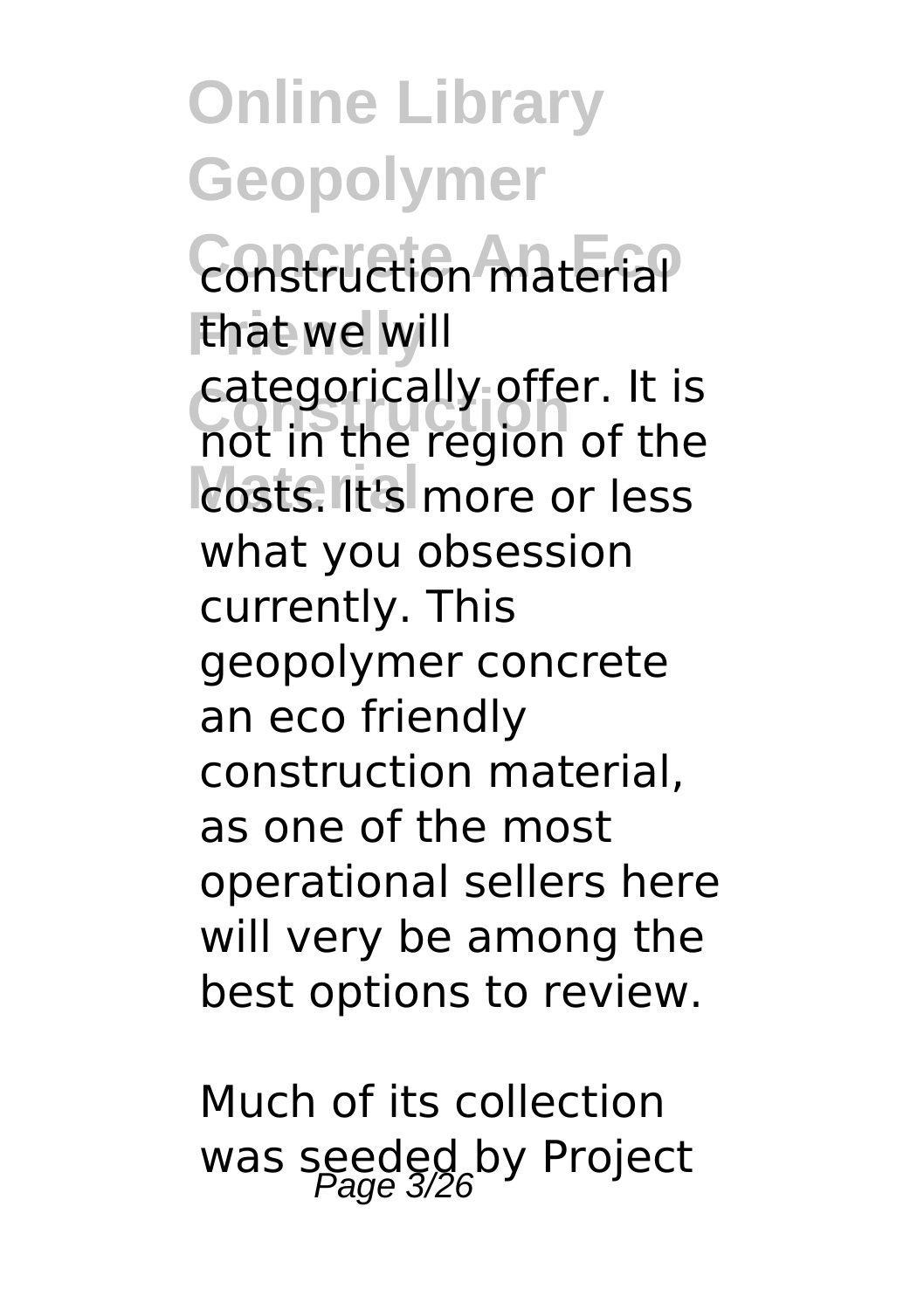**Online Library Geopolymer Construction material Friendly** that we will **Construction** not in the region of the **costs. It's more or less** categorically offer. It is what you obsession currently. This geopolymer concrete an eco friendly construction material, as one of the most operational sellers here will very be among the best options to review.

Much of its collection was seeded by Project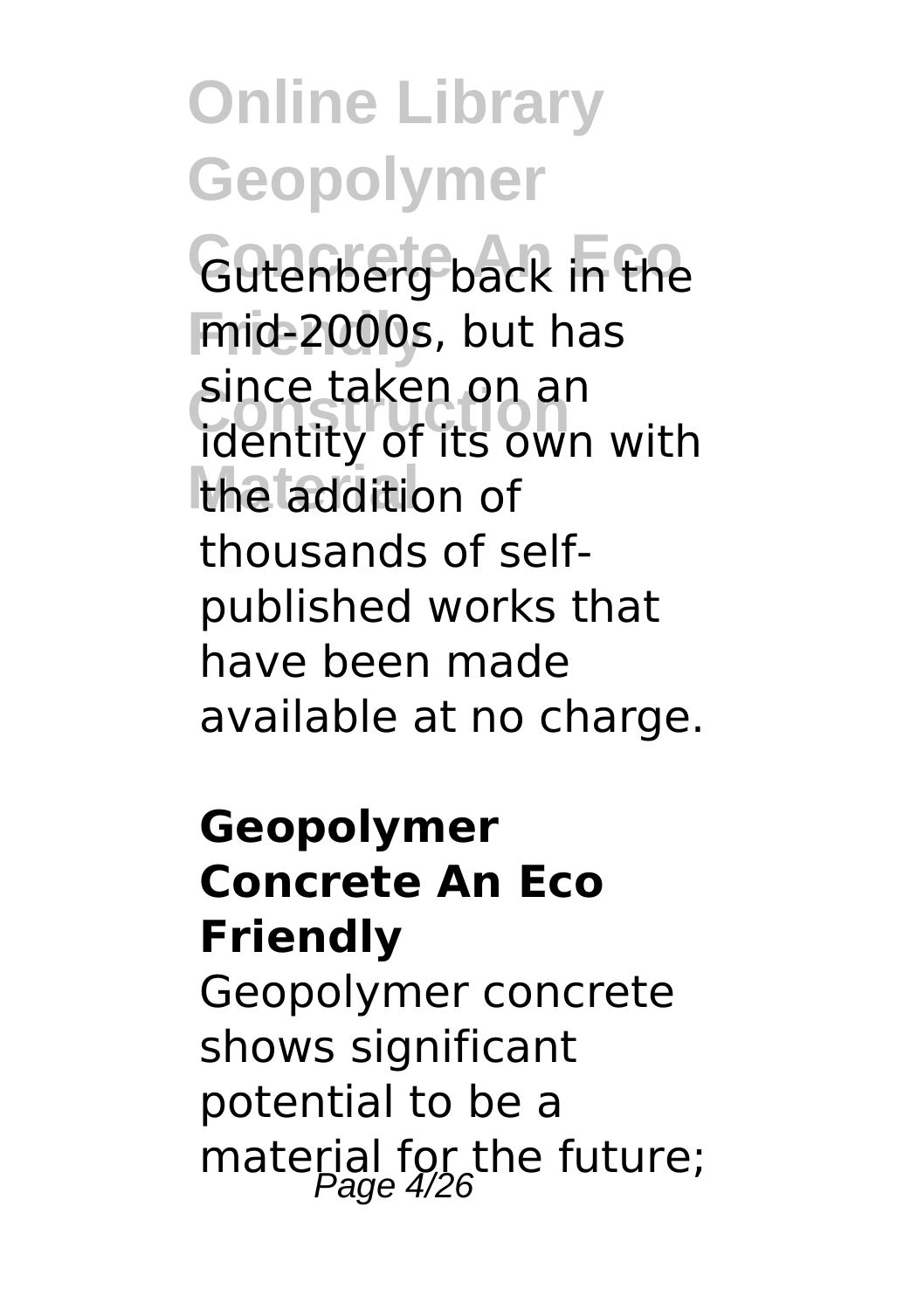**Gutenberg back in the Friendly** mid-2000s, but has **Construction** identity of its own with the addition of since taken on an thousands of selfpublished works that have been made available at no charge.

#### **Geopolymer Concrete An Eco Friendly**

Geopolymer concrete shows significant potential to be a material for the future;<br> $P_{\text{age}}4/26$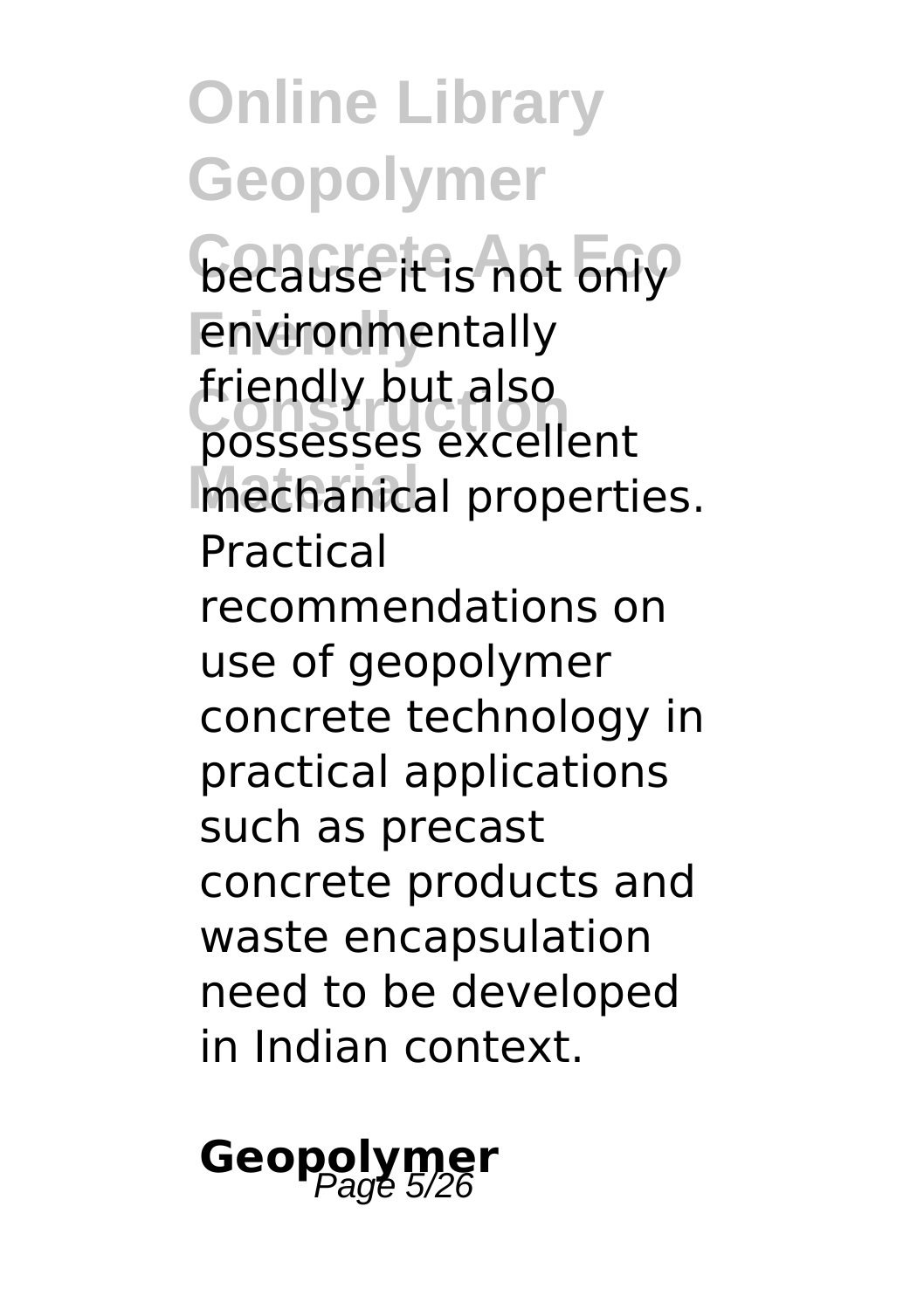**because it is not only** *<u>Environmentally</u>* **Construction** possesses excellent **Material** mechanical properties. friendly but also Practical

recommendations on use of geopolymer concrete technology in practical applications such as precast concrete products and waste encapsulation need to be developed in Indian context.

# **Geopolym**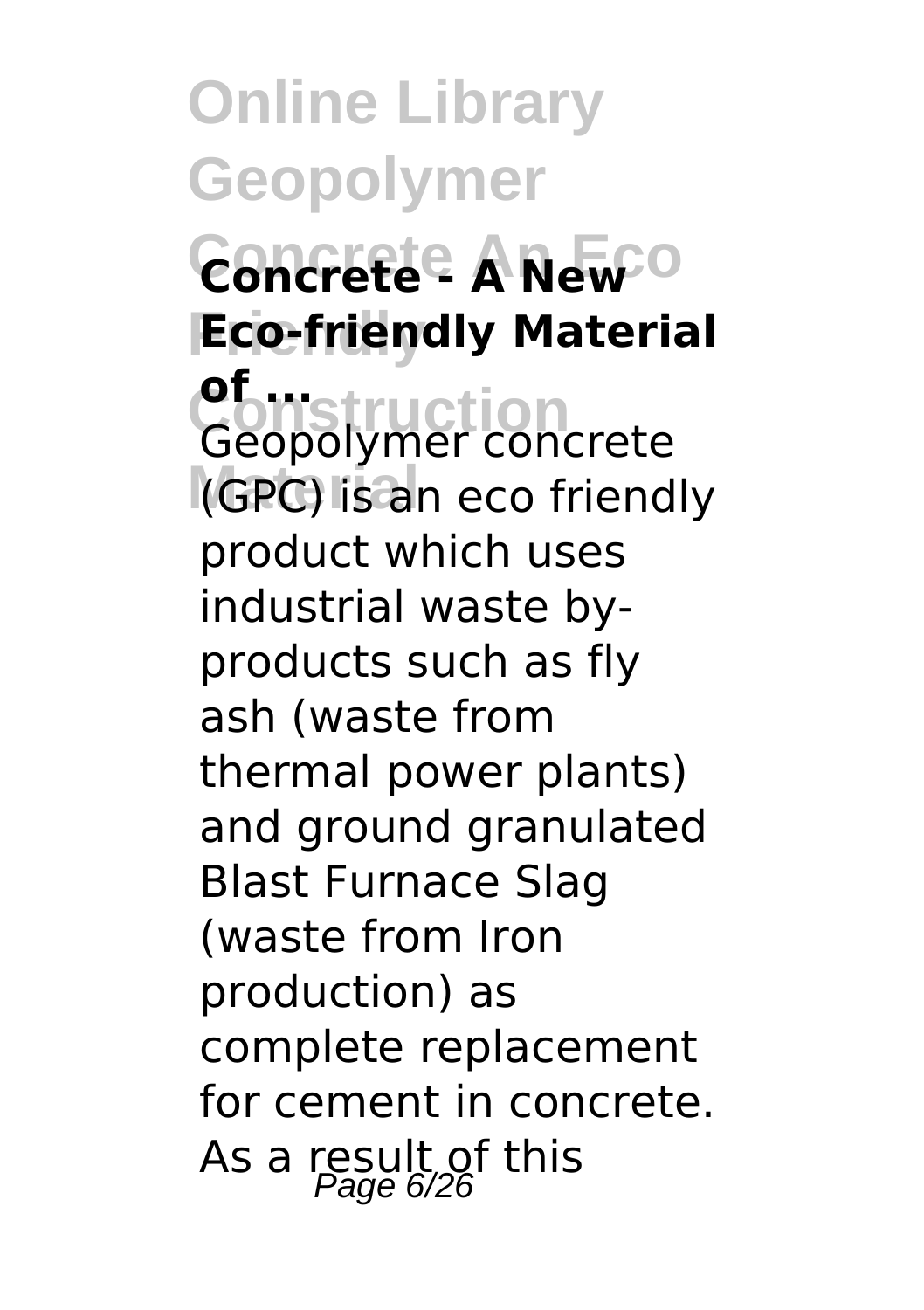**Online Library Geopolymer Concrete An Eco Concrete - A New Friendly Eco-friendly Material Construction**<br>Geopolymer concrete **Material** (GPC) is an eco friendly **of ...** product which uses industrial waste byproducts such as fly ash (waste from thermal power plants) and ground granulated Blast Furnace Slag (waste from Iron production) as complete replacement for cement in concrete. As a result of this  $P_{\text{age 6/26}}$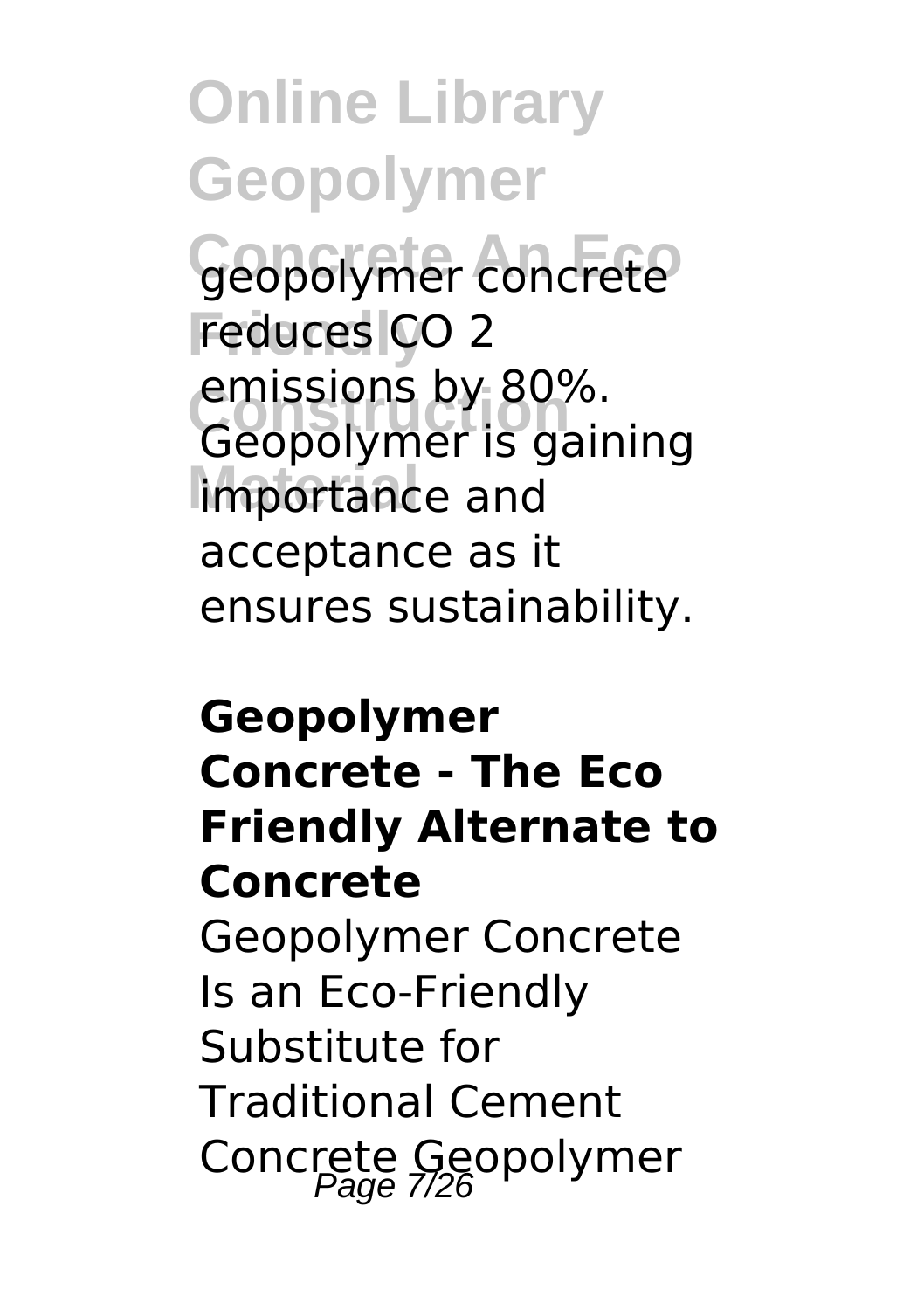**Online Library Geopolymer** Geopolymer concrete **reduces** CO 2 emissions by 80%.<br>Geopolymer is gaining **Importance** and emissions by 80%. acceptance as it ensures sustainability.

#### **Geopolymer Concrete - The Eco Friendly Alternate to Concrete** Geopolymer Concrete Is an Eco-Friendly Substitute for

Traditional Cement Concrete Geopolymer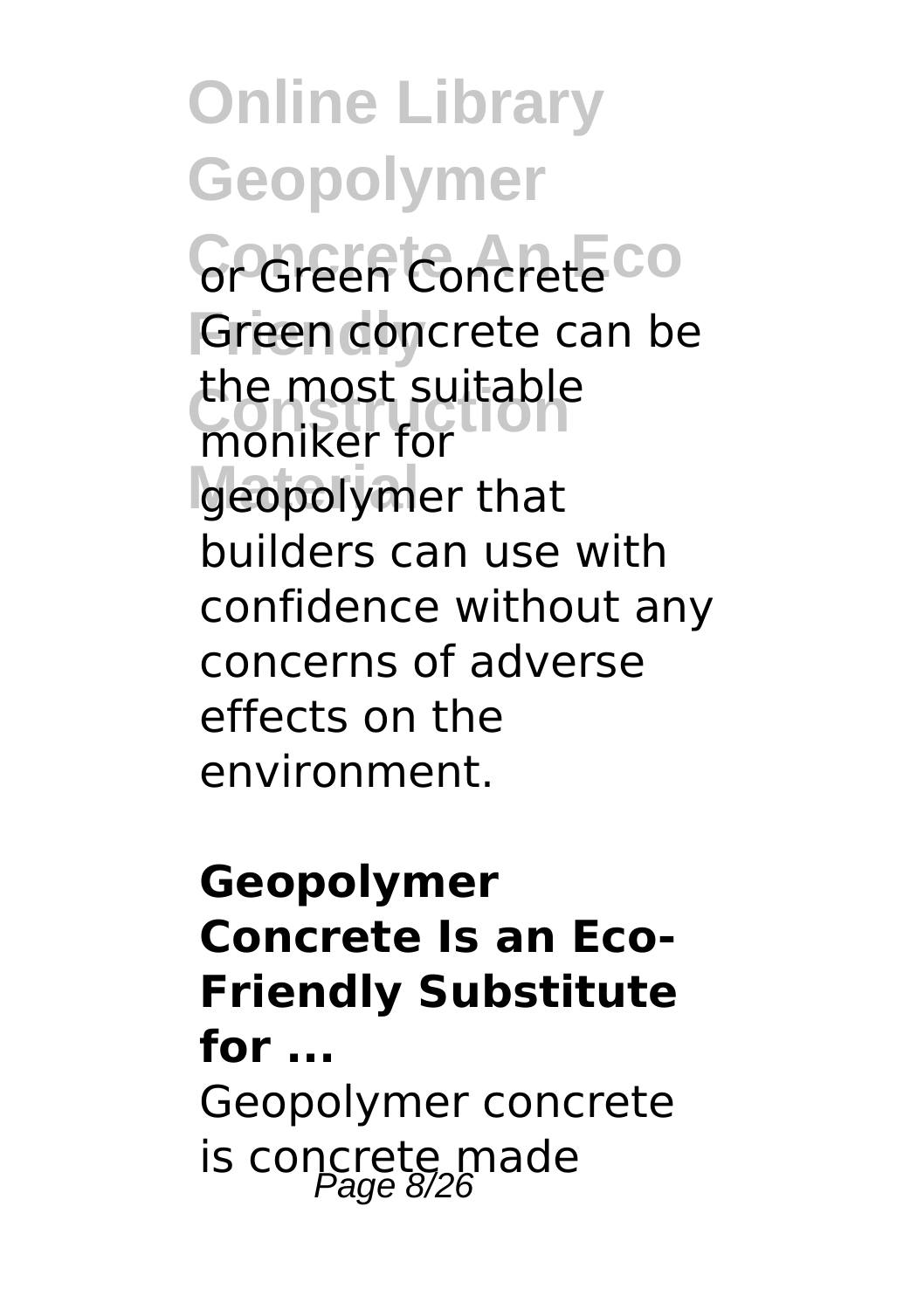GrGreen Concrete CO **Green concrete can be** the most suitable<br>moniker for geopolymer that moniker for builders can use with confidence without any concerns of adverse effects on the environment.

#### **Geopolymer Concrete Is an Eco-Friendly Substitute for ...** Geopolymer concrete is concrete made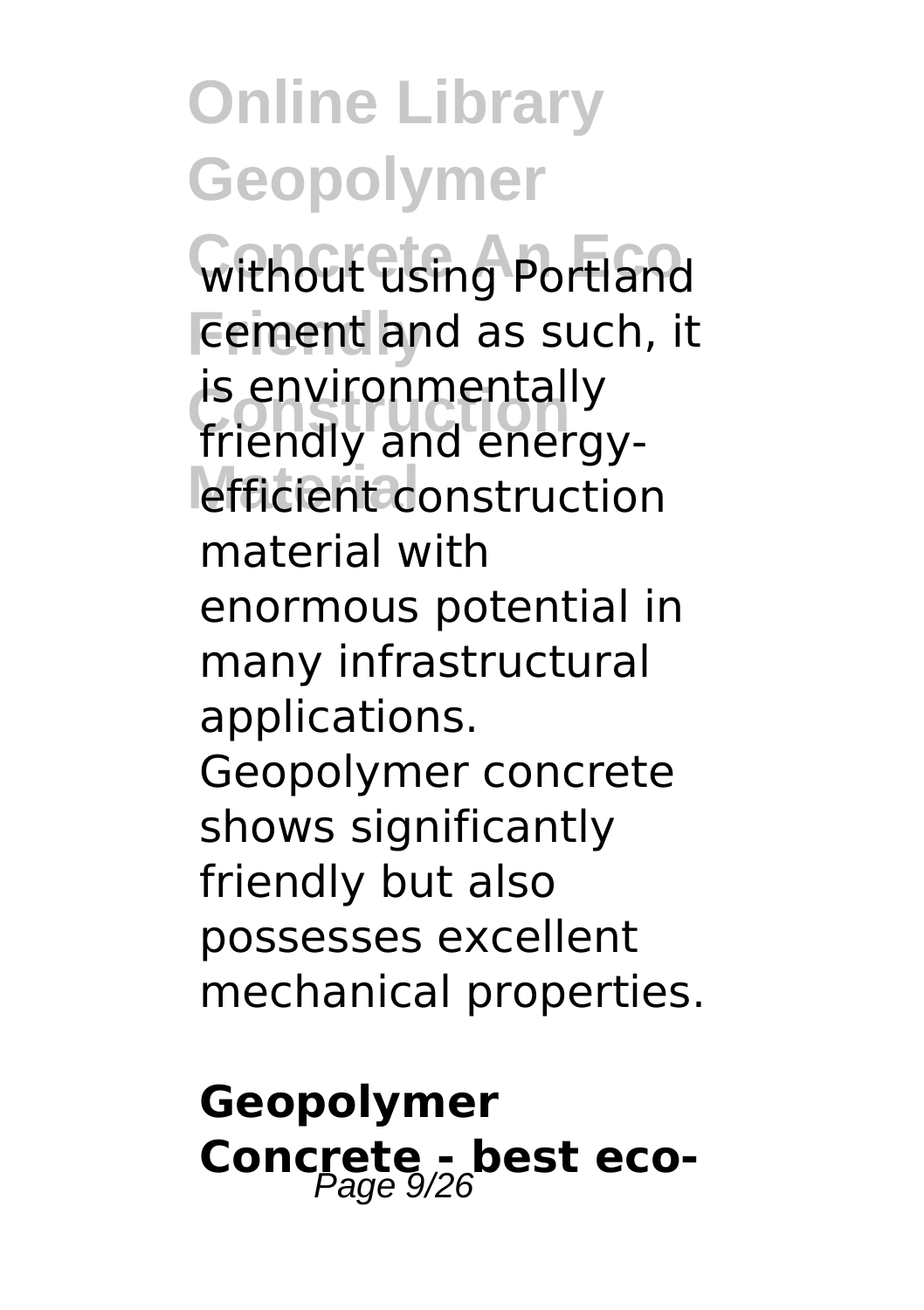**Without using Portland Fement and as such, it IS environmentally**<br>friendly and energyefficient construction is environmentally material with enormous potential in many infrastructural applications. Geopolymer concrete shows significantly friendly but also possesses excellent mechanical properties.

#### **Geopolymer Concrete - best eco-**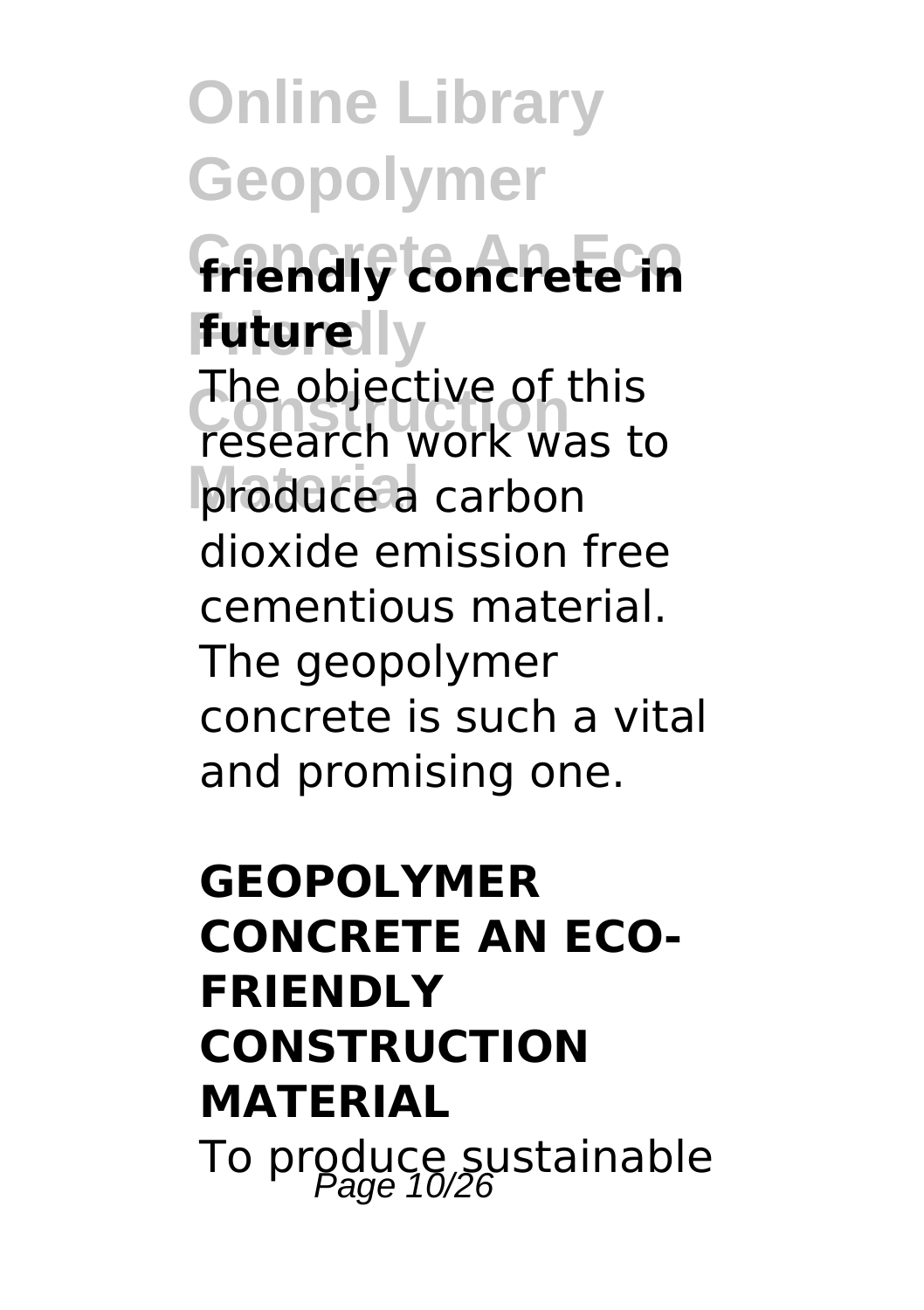#### **Concrete An Eco friendly concrete in future**lly

The objective of this<br>Fesearch work was t produce a carbon research work was to dioxide emission free cementious material. The geopolymer concrete is such a vital and promising one.

#### **GEOPOLYMER CONCRETE AN ECO-FRIENDLY CONSTRUCTION MATERIAL** To produce sustainable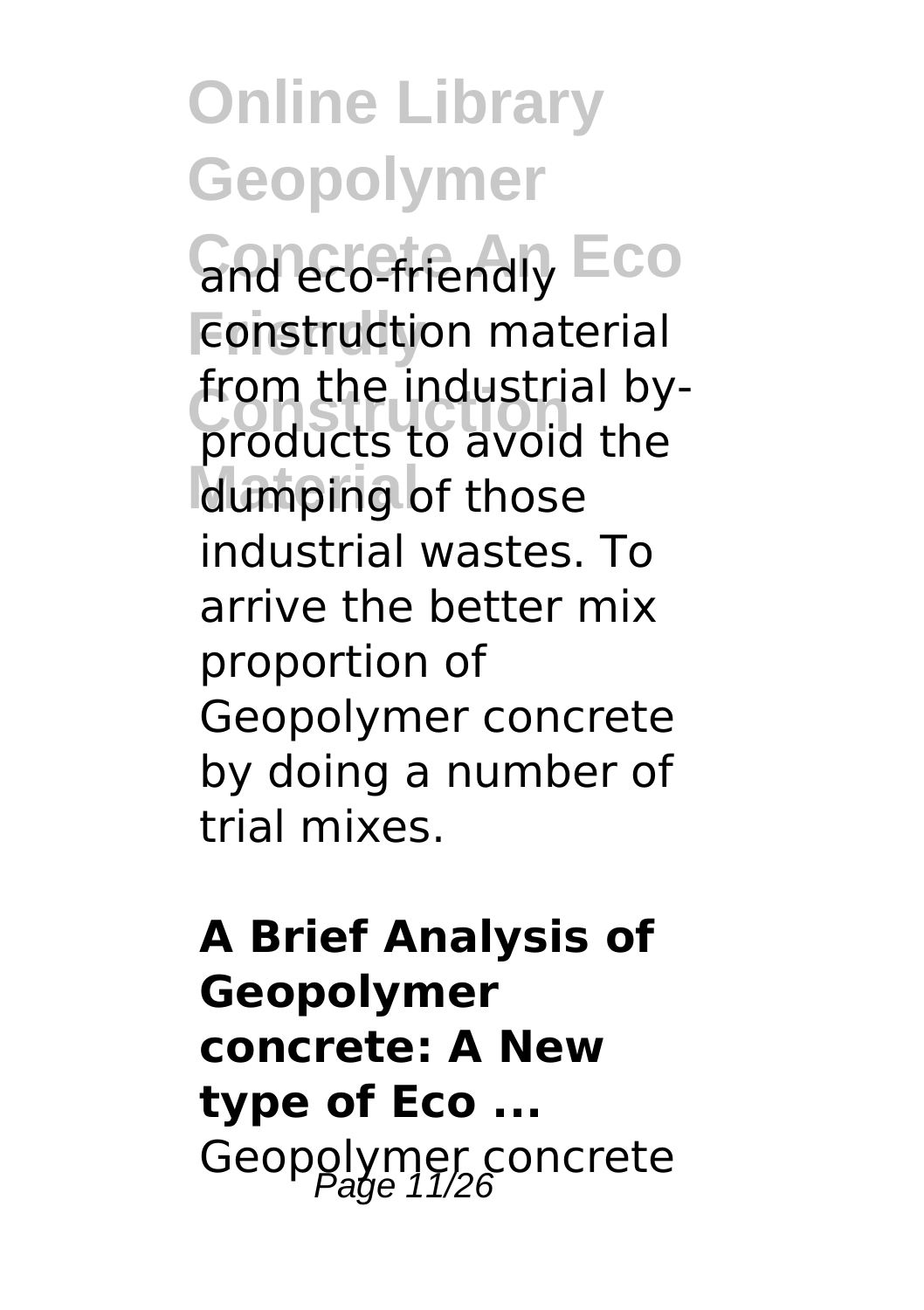**Concrete And Eco Fonstruction material Construction** products to avoid the dumping of those from the industrial byindustrial wastes. To arrive the better mix proportion of Geopolymer concrete by doing a number of trial mixes.

#### **A Brief Analysis of Geopolymer concrete: A New type of Eco ...** Geopolymer concrete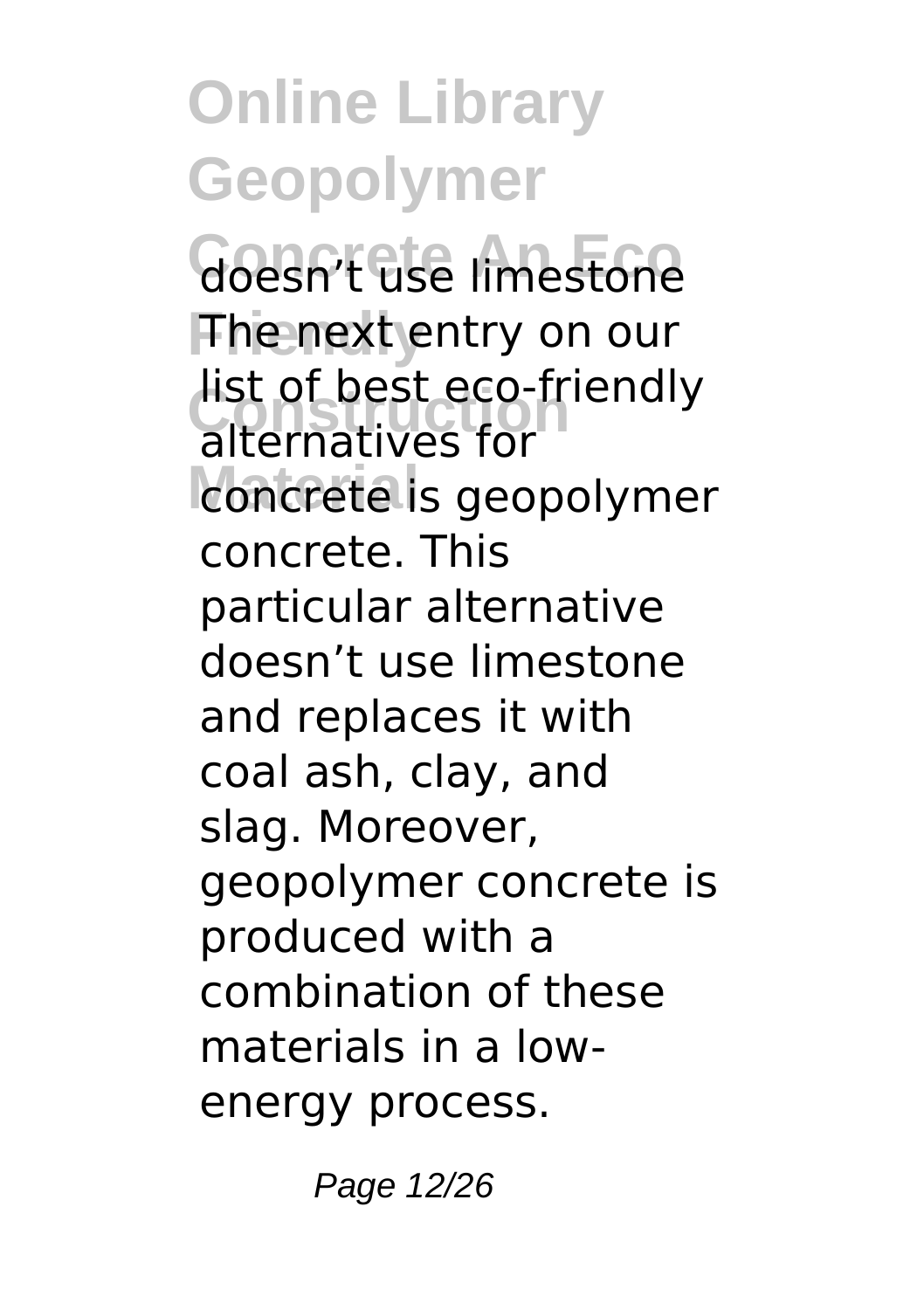**Goesn't use limestone Friendly** The next entry on our list of best eco-friendly<br>alternatives for concrete is geopolymer alternatives for concrete. This particular alternative doesn't use limestone and replaces it with coal ash, clay, and slag. Moreover, geopolymer concrete is produced with a combination of these materials in a lowenergy process.

Page 12/26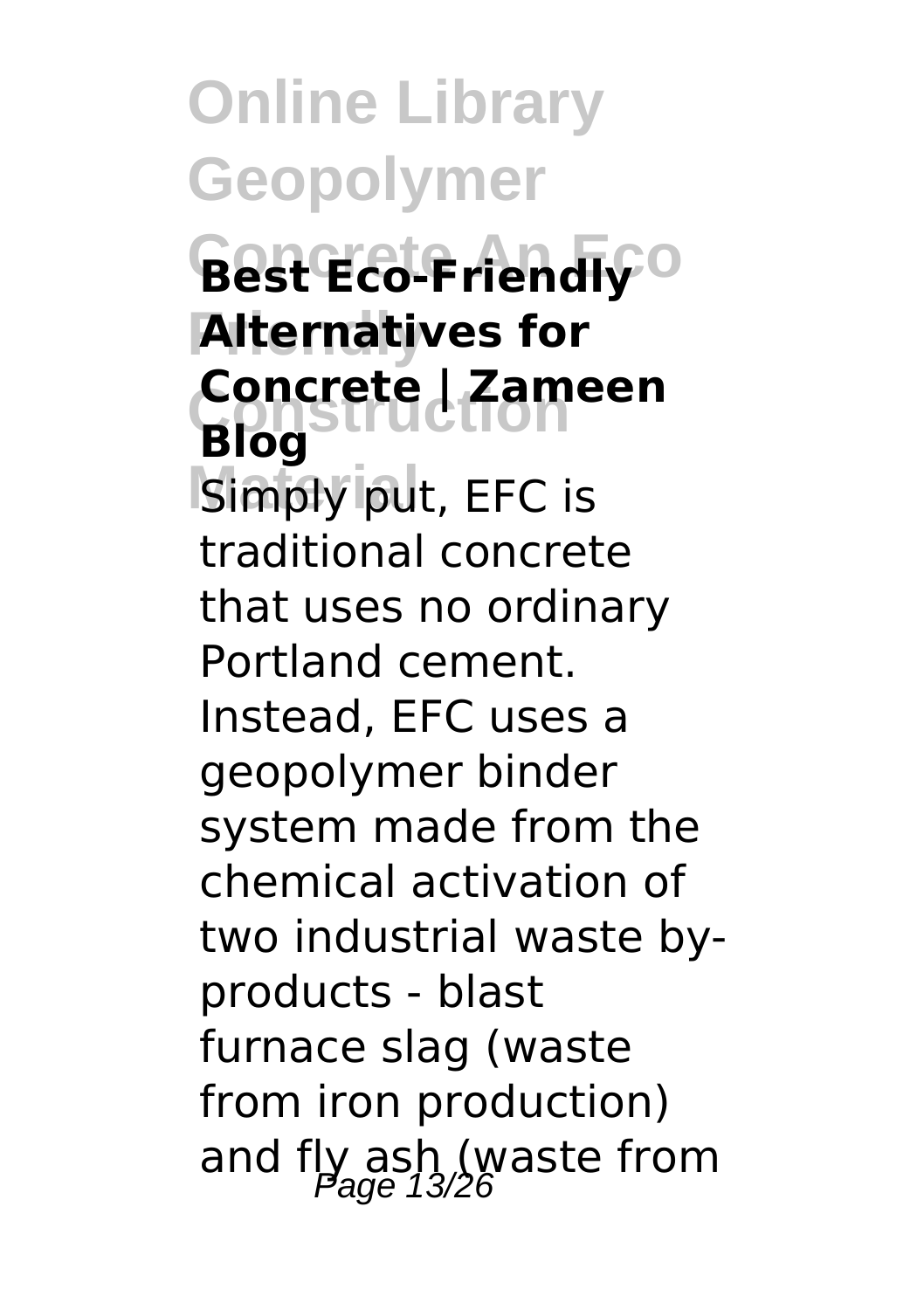**Concrete An Eco Best Eco-Friendly Friendly Alternatives for Construction Concrete | Zameen** Simply put, EFC is **Blog** traditional concrete that uses no ordinary Portland cement. Instead, EFC uses a geopolymer binder system made from the chemical activation of two industrial waste byproducts - blast furnace slag (waste from iron production) and fly ash (waste from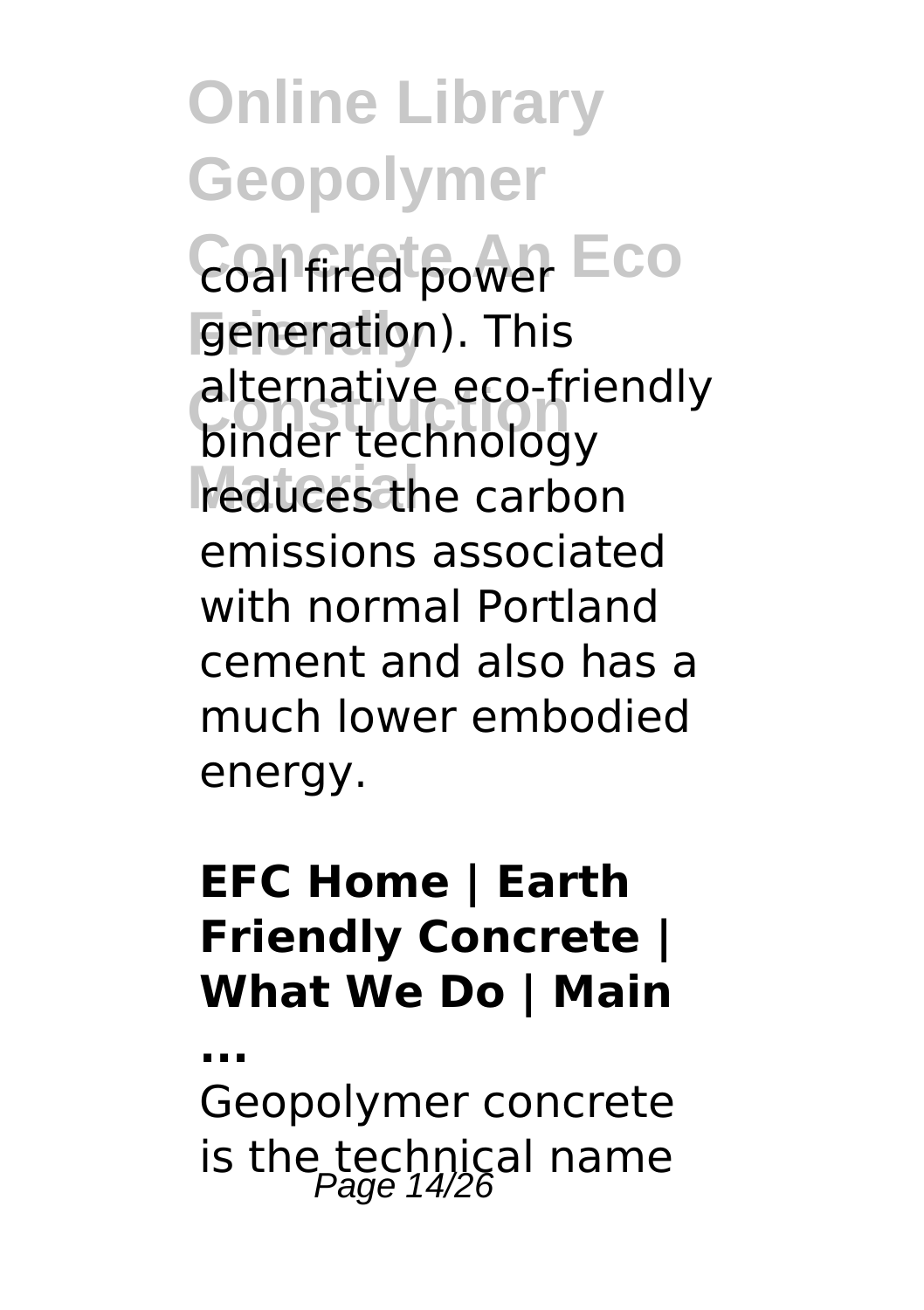**Coal fired power Eco** generation). This alternative eco-friendly<br>binder technology reduces the carbon binder technology emissions associated with normal Portland cement and also has a much lower embodied energy.

#### **EFC Home | Earth Friendly Concrete | What We Do | Main**

Geopolymer concrete is the technical name

**...**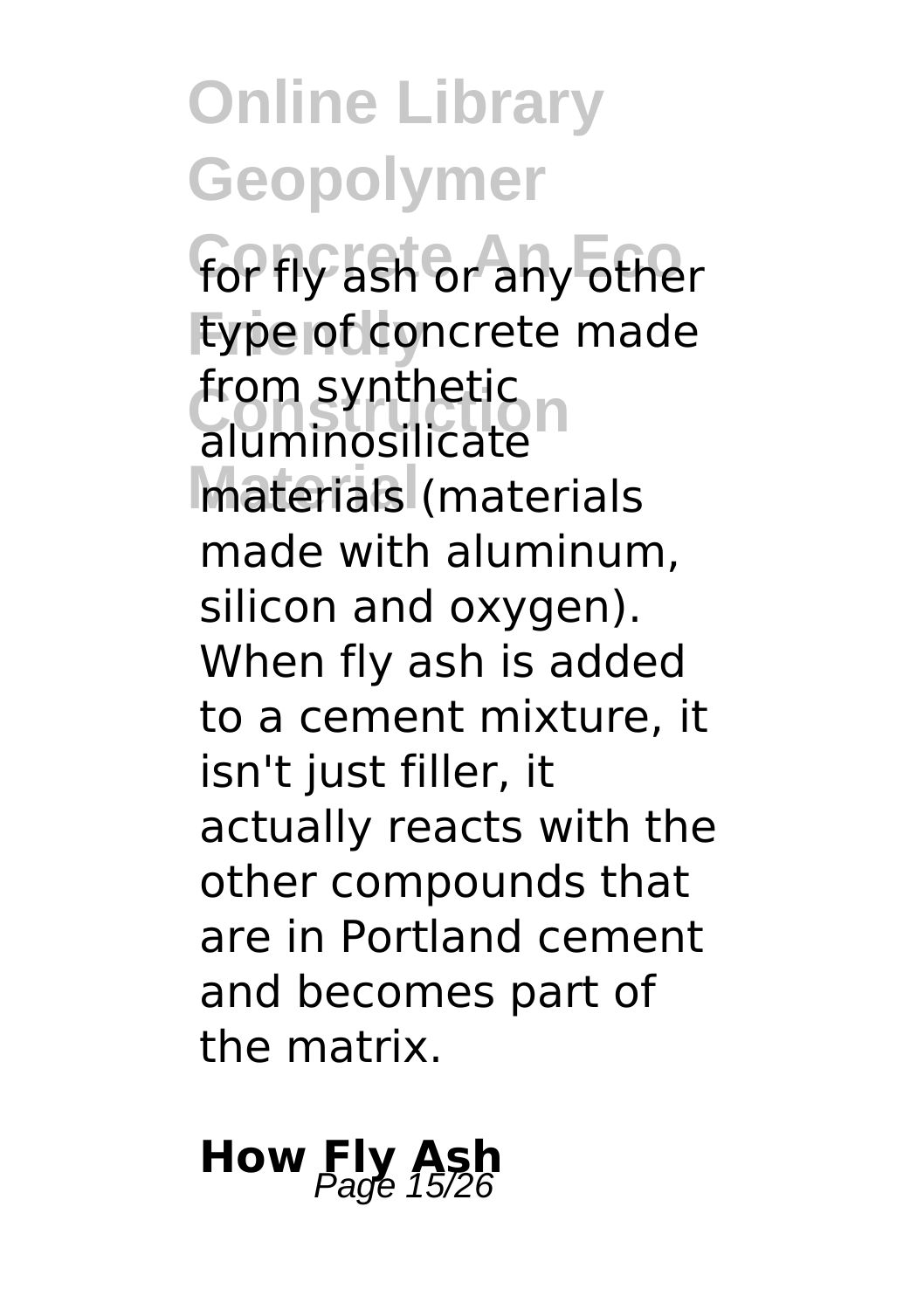**Online Library Geopolymer** for fly ash or any other **Friendly** type of concrete made **Trom synthetic**<br>
aluminosilicate **Material** materials (materials from synthetic made with aluminum, silicon and oxygen). When fly ash is added to a cement mixture, it isn't just filler, it actually reacts with the other compounds that are in Portland cement and becomes part of the matrix.

#### **How Fly As**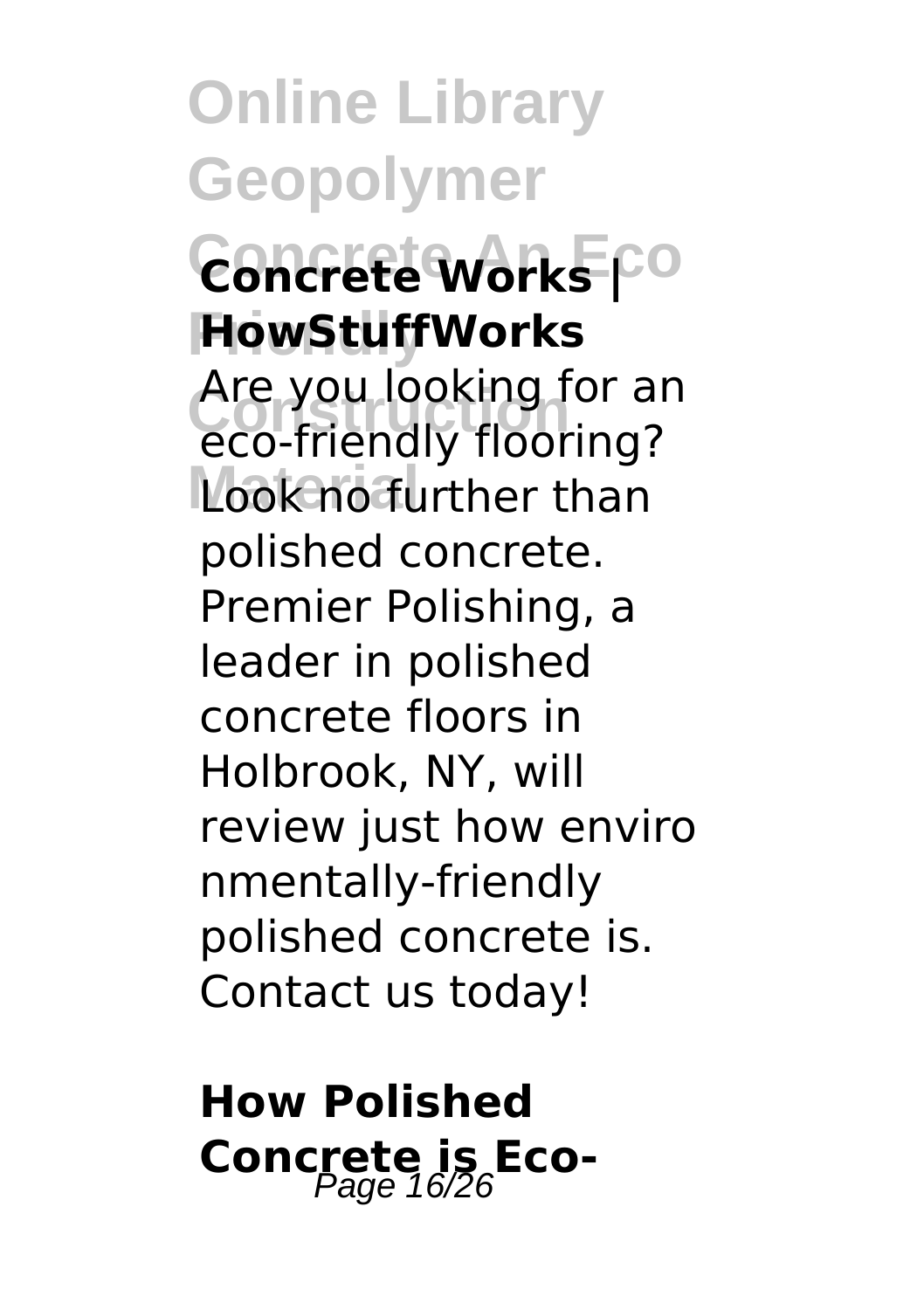**Online Library Geopolymer**  $\overline{\mathsf{ConcreteWorks}}$ <sup>co</sup> **Friendly HowStuffWorks** Are you looking for all<br>eco-friendly flooring? Look no further than Are you looking for an polished concrete. Premier Polishing, a leader in polished concrete floors in Holbrook, NY, will review just how enviro nmentally-friendly polished concrete is. Contact us today!

**How Polished Concrete is Eco-**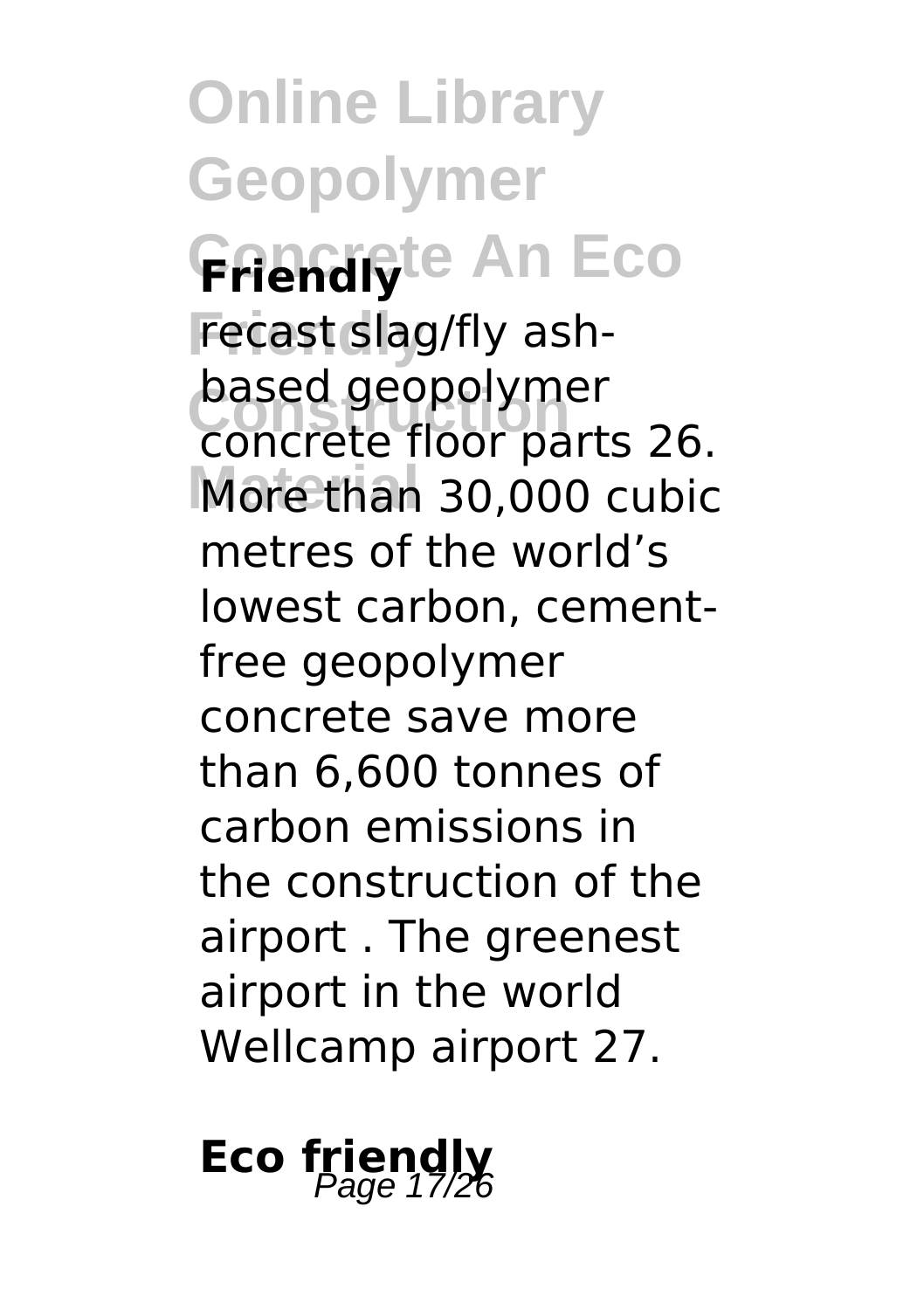**Online Library Geopolymer Friendly**te An Eco recast slag/fly ash-**Construction** concrete floor parts 26. More than 30,000 cubic based geopolymer metres of the world's lowest carbon, cementfree geopolymer concrete save more than 6,600 tonnes of carbon emissions in the construction of the airport . The greenest airport in the world Wellcamp airport 27.

#### **Eco friendly**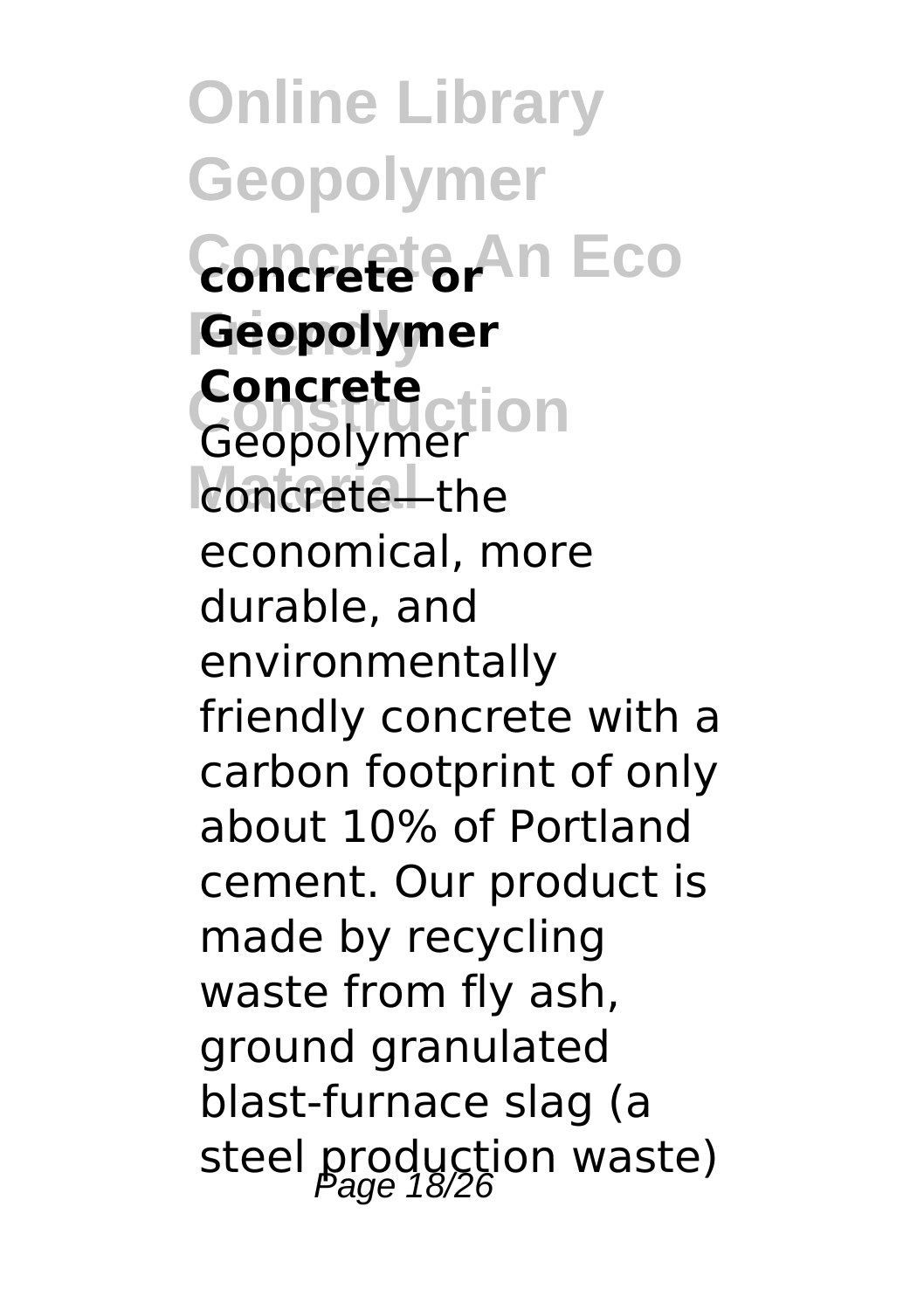**Online Library Geopolymer Concrete An Eco concrete or Friendly Geopolymer Construction Concrete** concrete—the Geopolymer economical, more durable, and environmentally friendly concrete with a carbon footprint of only about 10% of Portland cement. Our product is made by recycling waste from fly ash, ground granulated blast-furnace slag (a steel production waste)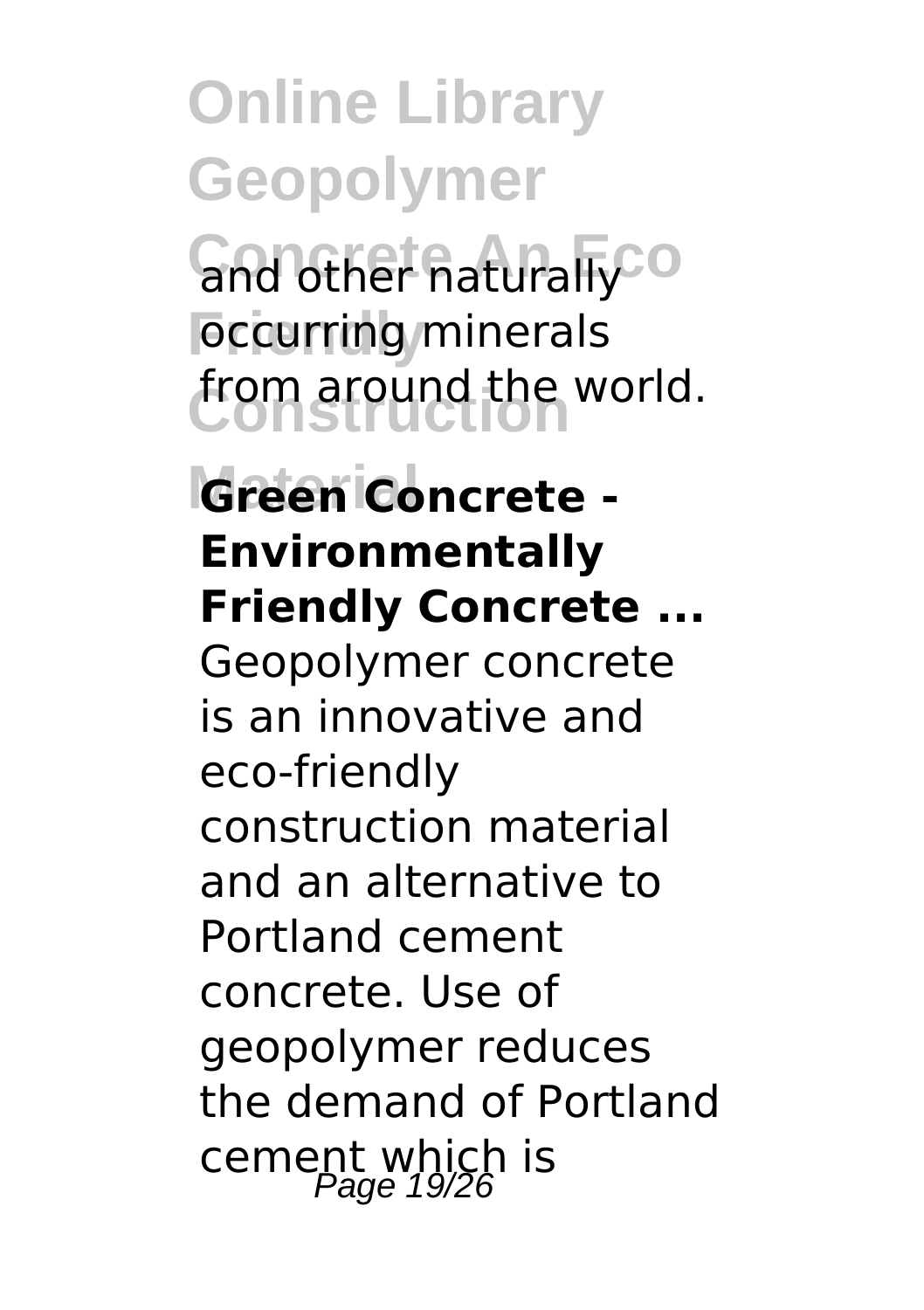**Gnd other naturally** o **Foccurring** minerals **Construction** from around the world.

**Material Green Concrete - Environmentally Friendly Concrete ...** Geopolymer concrete is an innovative and eco-friendly construction material and an alternative to Portland cement concrete. Use of geopolymer reduces the demand of Portland cement which is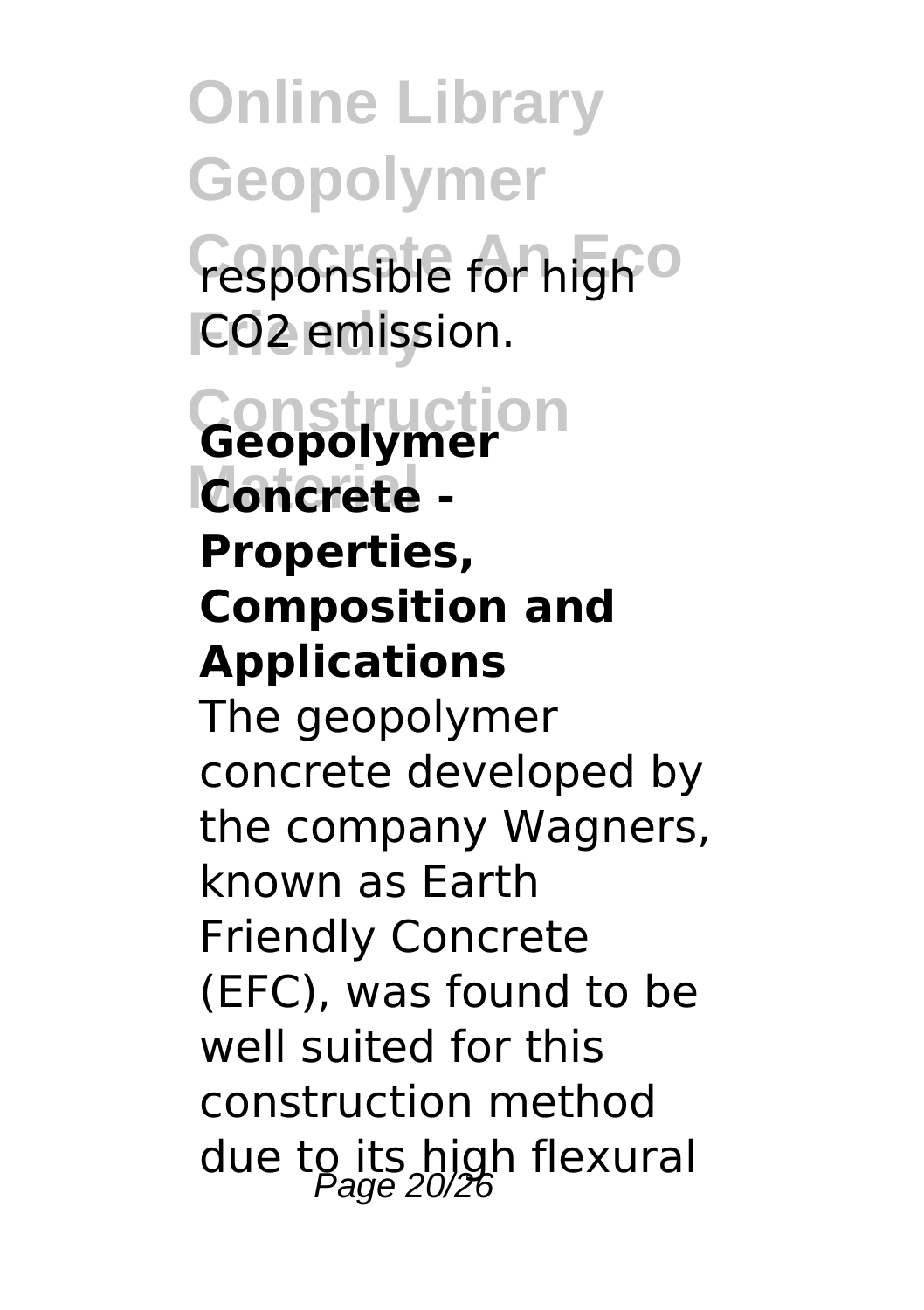**Online Library Geopolymer Concrete For high**<sup>o</sup> **FCO<sub>2</sub>** emission.

#### **Construction Material Concrete - Geopolymer Properties, Composition and Applications**

The geopolymer concrete developed by the company Wagners, known as Earth Friendly Concrete (EFC), was found to be well suited for this construction method due to its high flexural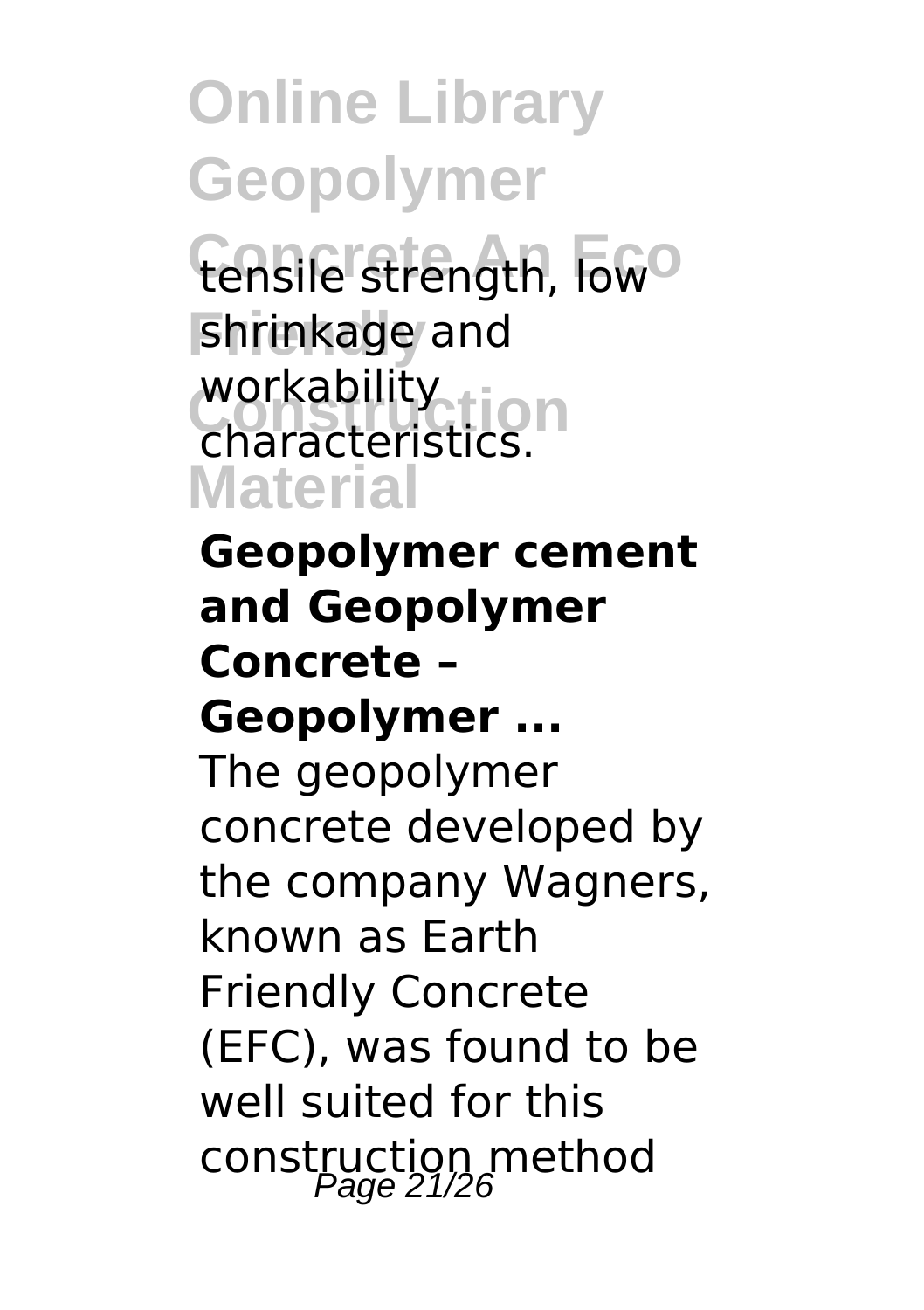tensile strength, low<sup>o</sup> **Friendly** shrinkage and workability<br>Characteristics **N Material** characteristics.

**Geopolymer cement and Geopolymer Concrete – Geopolymer ...** The geopolymer concrete developed by the company Wagners, known as Earth Friendly Concrete (EFC), was found to be well suited for this construction method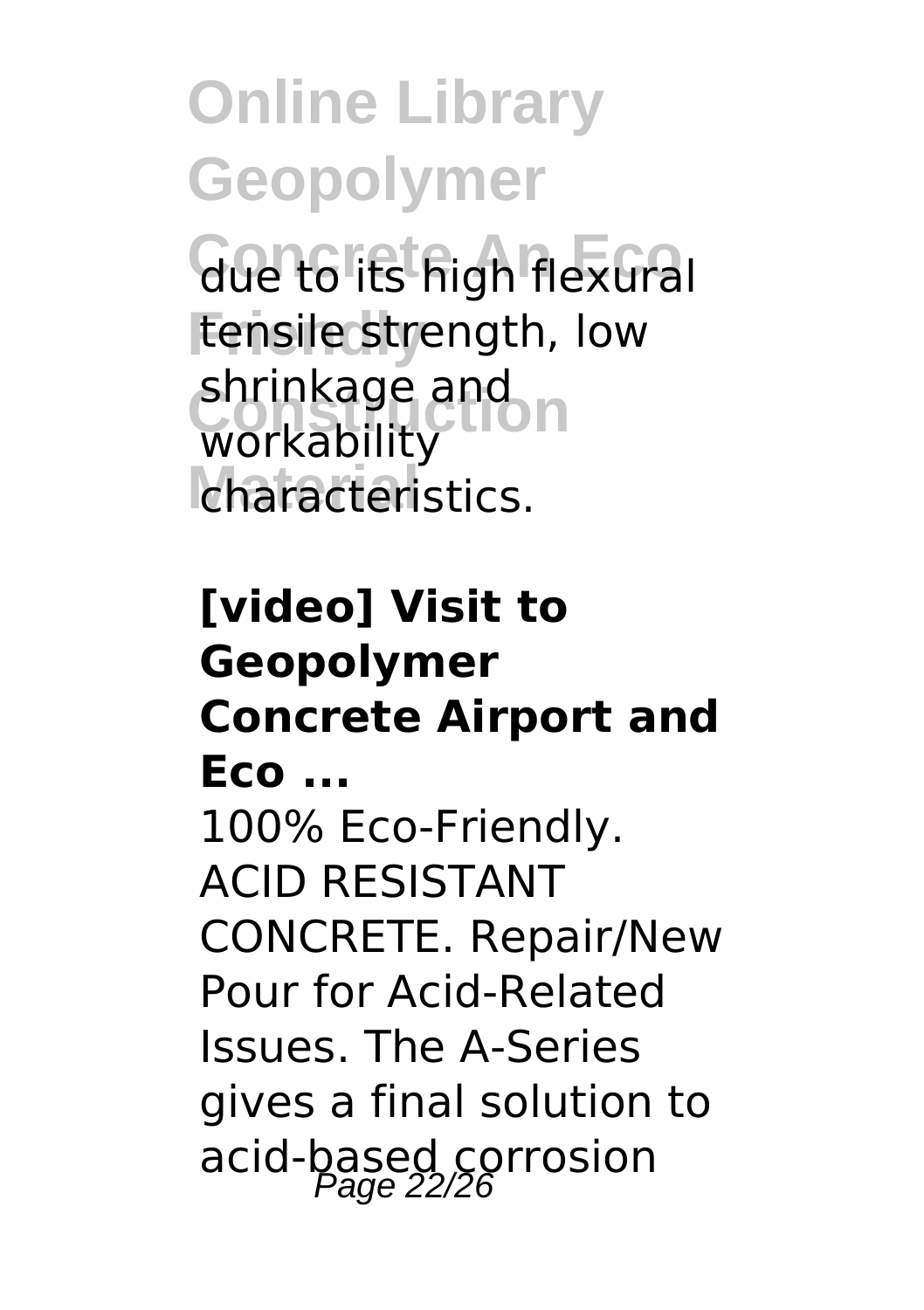**Concrete An Eco** due to its high flexural tensile strength, low shrinkage and<br>workability characteristics. workability

#### **[video] Visit to Geopolymer Concrete Airport and Eco ...** 100% Eco-Friendly. ACID RESISTANT CONCRETE. Repair/New Pour for Acid-Related Issues. The A-Series gives a final solution to acid-based corrosion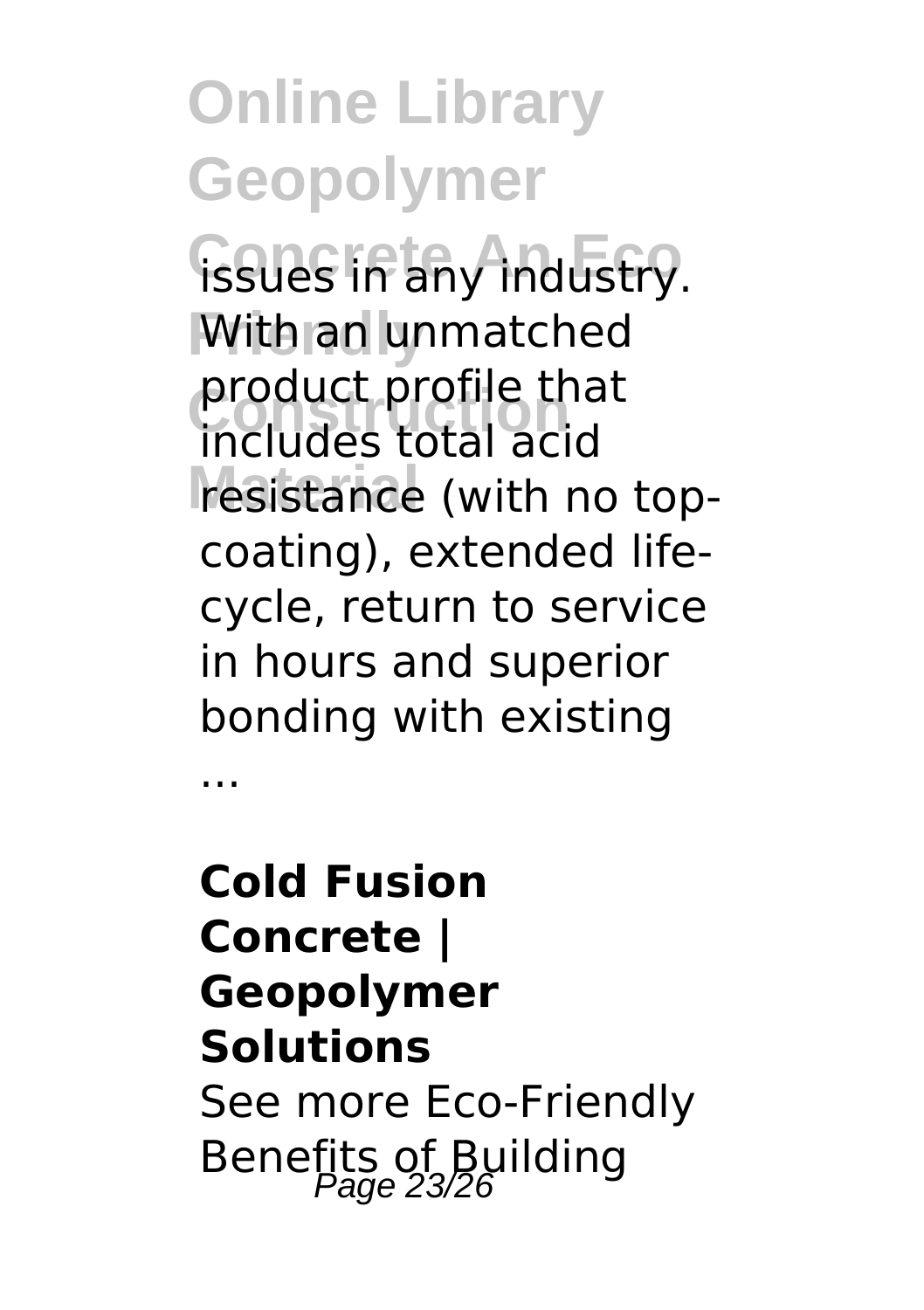**Concrete An Eco** issues in any industry. **With an unmatched Construction** includes total acid resistance (with no topproduct profile that coating), extended lifecycle, return to service in hours and superior bonding with existing

...

**Cold Fusion Concrete | Geopolymer Solutions** See more Eco-Friendly Benefits of Building<br>Page 23/26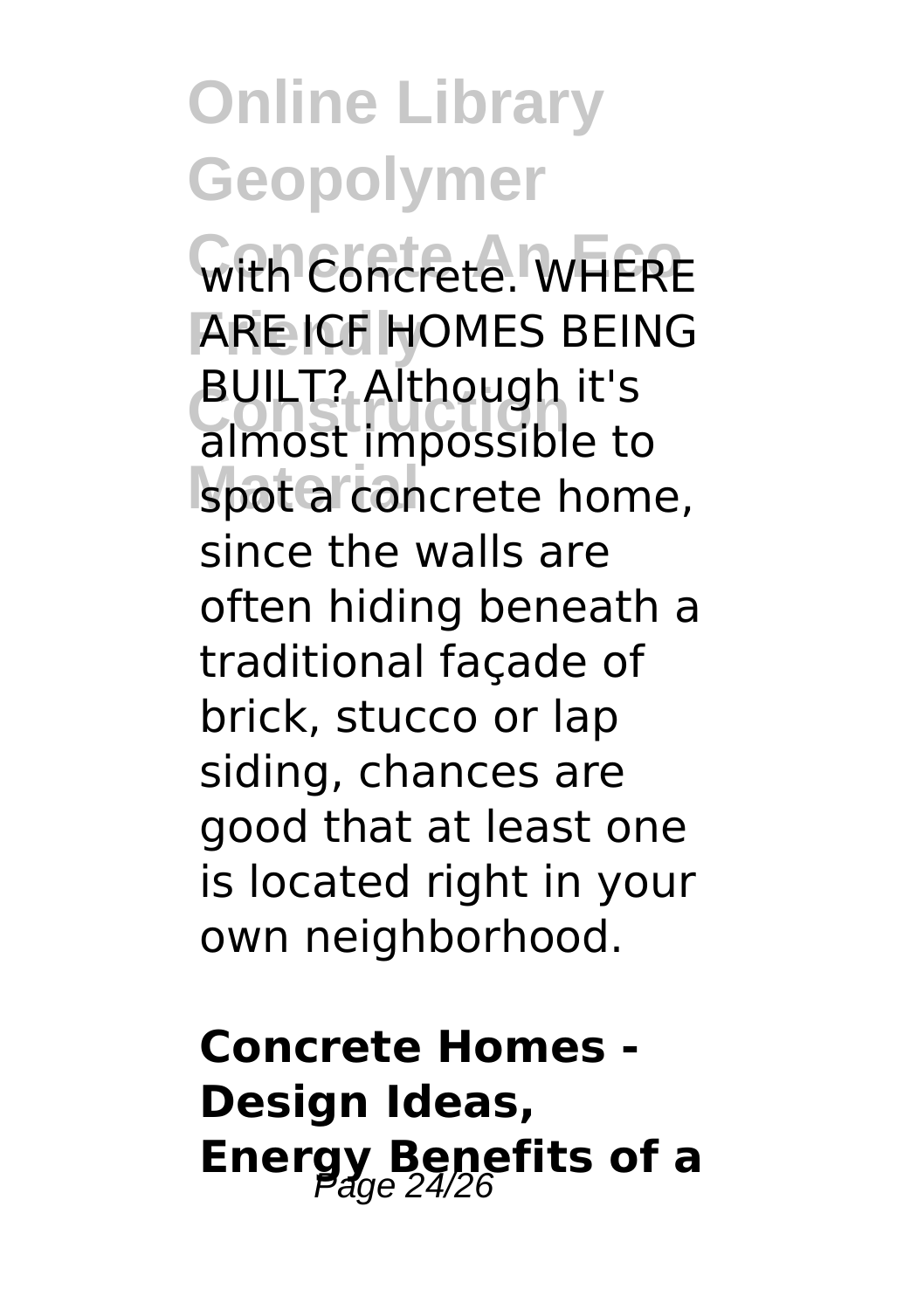With Concrete. WHERE **Friendly** ARE ICF HOMES BEING **BOILT: Although it's**<br>almost impossible to spot a concrete home, BUILT? Although it's since the walls are often hiding beneath a traditional façade of brick, stucco or lap siding, chances are good that at least one is located right in your own neighborhood.

**Concrete Homes - Design Ideas, Energy Benefits of a**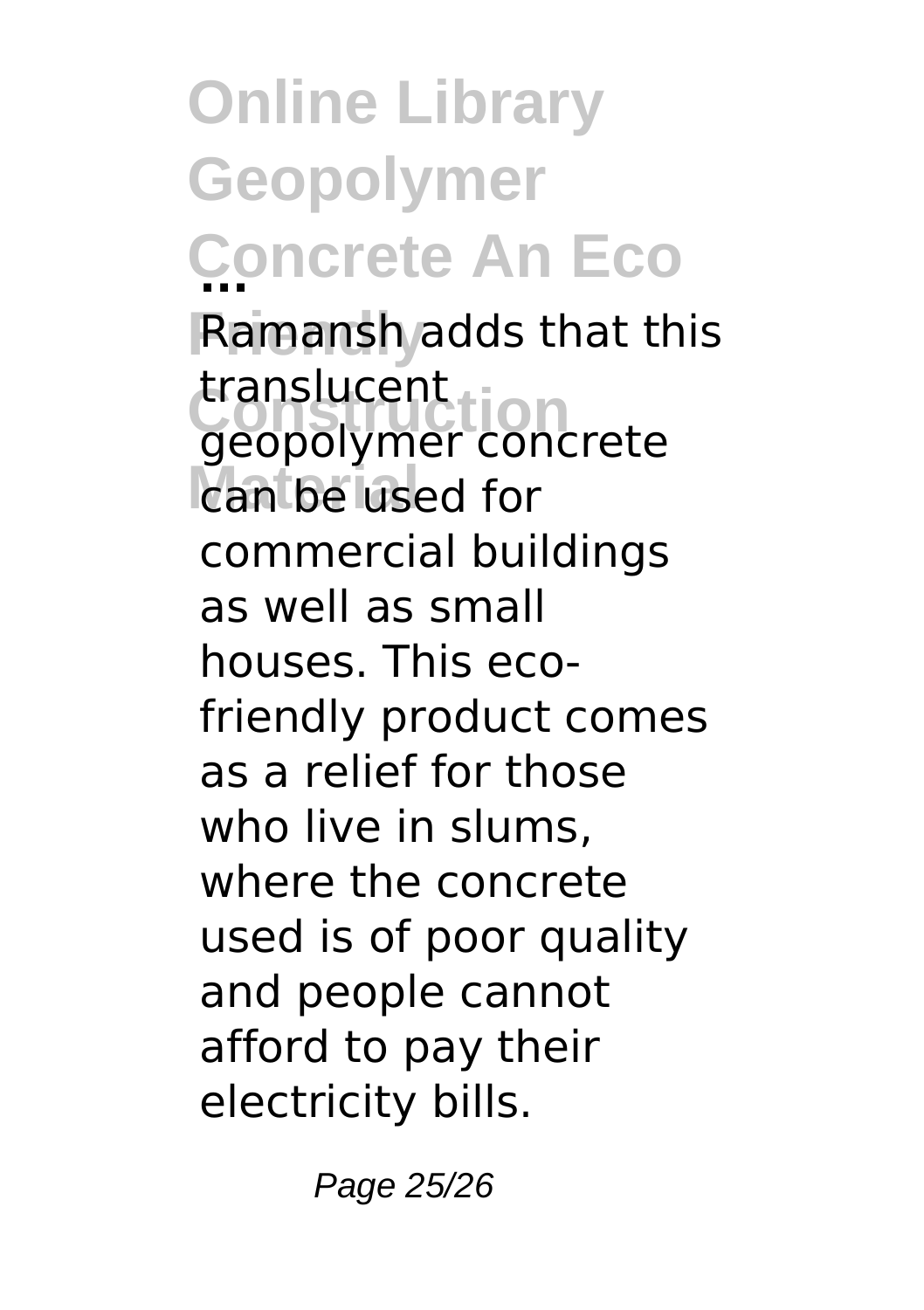**Online Library Geopolymer Concrete An Eco ... Friendly** Ramansh adds that this **Construction** geopolymer concrete can be used for translucent commercial buildings as well as small houses. This ecofriendly product comes as a relief for those who live in slums, where the concrete used is of poor quality and people cannot afford to pay their electricity bills.

Page 25/26